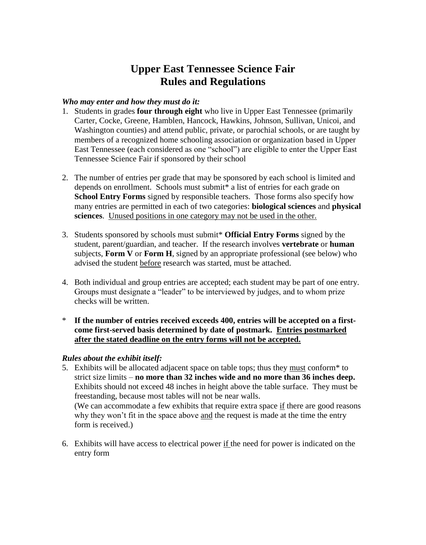# **Upper East Tennessee Science Fair Rules and Regulations**

### *Who may enter and how they must do it:*

- 1. Students in grades **four through eight** who live in Upper East Tennessee (primarily Carter, Cocke, Greene, Hamblen, Hancock, Hawkins, Johnson, Sullivan, Unicoi, and Washington counties) and attend public, private, or parochial schools, or are taught by members of a recognized home schooling association or organization based in Upper East Tennessee (each considered as one "school") are eligible to enter the Upper East Tennessee Science Fair if sponsored by their school
- 2. The number of entries per grade that may be sponsored by each school is limited and depends on enrollment. Schools must submit\* a list of entries for each grade on **School Entry Forms** signed by responsible teachers. Those forms also specify how many entries are permitted in each of two categories: **biological sciences** and **physical sciences**. Unused positions in one category may not be used in the other.
- 3. Students sponsored by schools must submit\* **Official Entry Forms** signed by the student, parent/guardian, and teacher. If the research involves **vertebrate** or **human** subjects, **Form V** or **Form H**, signed by an appropriate professional (see below) who advised the student before research was started, must be attached.
- 4. Both individual and group entries are accepted; each student may be part of one entry. Groups must designate a "leader" to be interviewed by judges, and to whom prize checks will be written.
- If the number of entries received exceeds 400, entries will be accepted on a first**come first-served basis determined by date of postmark. Entries postmarked after the stated deadline on the entry forms will not be accepted.**

## *Rules about the exhibit itself:*

- 5. Exhibits will be allocated adjacent space on table tops; thus they must conform\* to strict size limits – **no more than 32 inches wide and no more than 36 inches deep.** Exhibits should not exceed 48 inches in height above the table surface. They must be freestanding, because most tables will not be near walls. (We can accommodate a few exhibits that require extra space if there are good reasons why they won't fit in the space above and the request is made at the time the entry form is received.)
- 6. Exhibits will have access to electrical power if the need for power is indicated on the entry form